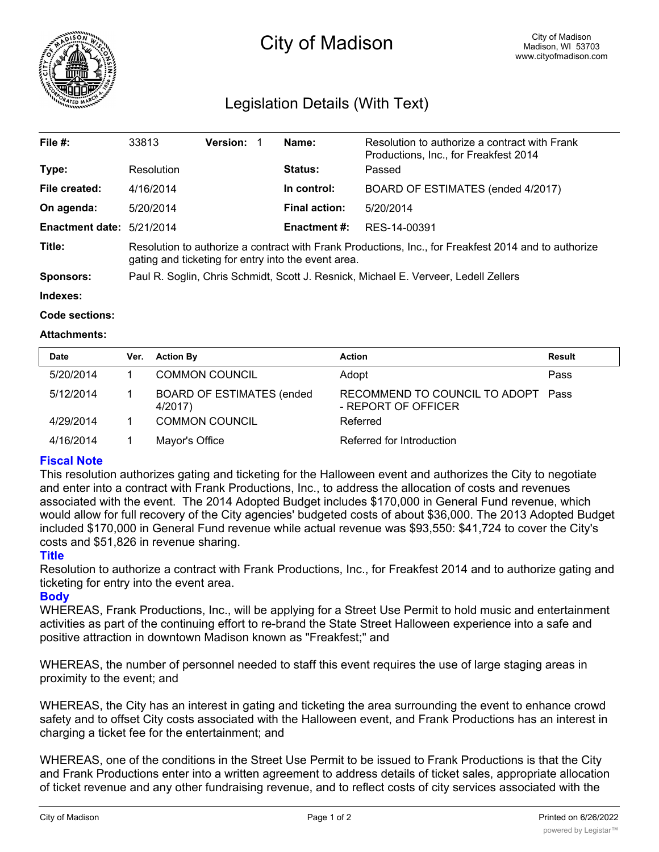

# City of Madison

# Legislation Details (With Text)

| File #:                   | 33813                                                                                                                                                       | <b>Version:</b> | Name:                | Resolution to authorize a contract with Frank<br>Productions, Inc., for Freakfest 2014 |  |  |
|---------------------------|-------------------------------------------------------------------------------------------------------------------------------------------------------------|-----------------|----------------------|----------------------------------------------------------------------------------------|--|--|
| Type:                     | Resolution                                                                                                                                                  |                 | <b>Status:</b>       | Passed                                                                                 |  |  |
| File created:             | 4/16/2014                                                                                                                                                   |                 | In control:          | BOARD OF ESTIMATES (ended 4/2017)                                                      |  |  |
| On agenda:                | 5/20/2014                                                                                                                                                   |                 | <b>Final action:</b> | 5/20/2014                                                                              |  |  |
| Enactment date: 5/21/2014 |                                                                                                                                                             |                 | Enactment #:         | RES-14-00391                                                                           |  |  |
| Title:                    | Resolution to authorize a contract with Frank Productions, Inc., for Freakfest 2014 and to authorize<br>gating and ticketing for entry into the event area. |                 |                      |                                                                                        |  |  |
| Sponsors:                 | Paul R. Soglin, Chris Schmidt, Scott J. Resnick, Michael E. Verveer, Ledell Zellers                                                                         |                 |                      |                                                                                        |  |  |
| Indexes:                  |                                                                                                                                                             |                 |                      |                                                                                        |  |  |

**Code sections:**

#### **Attachments:**

| <b>Date</b> | Ver. | <b>Action By</b>                             | <b>Action</b>                                             | <b>Result</b> |
|-------------|------|----------------------------------------------|-----------------------------------------------------------|---------------|
| 5/20/2014   |      | <b>COMMON COUNCIL</b>                        | Adopt                                                     | Pass          |
| 5/12/2014   |      | <b>BOARD OF ESTIMATES (ended)</b><br>4/2017) | RECOMMEND TO COUNCIL TO ADOPT Pass<br>- REPORT OF OFFICER |               |
| 4/29/2014   |      | <b>COMMON COUNCIL</b>                        | Referred                                                  |               |
| 4/16/2014   |      | Mayor's Office                               | Referred for Introduction                                 |               |

### **Fiscal Note**

This resolution authorizes gating and ticketing for the Halloween event and authorizes the City to negotiate and enter into a contract with Frank Productions, Inc., to address the allocation of costs and revenues associated with the event. The 2014 Adopted Budget includes \$170,000 in General Fund revenue, which would allow for full recovery of the City agencies' budgeted costs of about \$36,000. The 2013 Adopted Budget included \$170,000 in General Fund revenue while actual revenue was \$93,550: \$41,724 to cover the City's costs and \$51,826 in revenue sharing.

### **Title**

Resolution to authorize a contract with Frank Productions, Inc., for Freakfest 2014 and to authorize gating and ticketing for entry into the event area.

## **Body**

WHEREAS, Frank Productions, Inc., will be applying for a Street Use Permit to hold music and entertainment activities as part of the continuing effort to re-brand the State Street Halloween experience into a safe and positive attraction in downtown Madison known as "Freakfest;" and

WHEREAS, the number of personnel needed to staff this event requires the use of large staging areas in proximity to the event; and

WHEREAS, the City has an interest in gating and ticketing the area surrounding the event to enhance crowd safety and to offset City costs associated with the Halloween event, and Frank Productions has an interest in charging a ticket fee for the entertainment; and

WHEREAS, one of the conditions in the Street Use Permit to be issued to Frank Productions is that the City and Frank Productions enter into a written agreement to address details of ticket sales, appropriate allocation of ticket revenue and any other fundraising revenue, and to reflect costs of city services associated with the